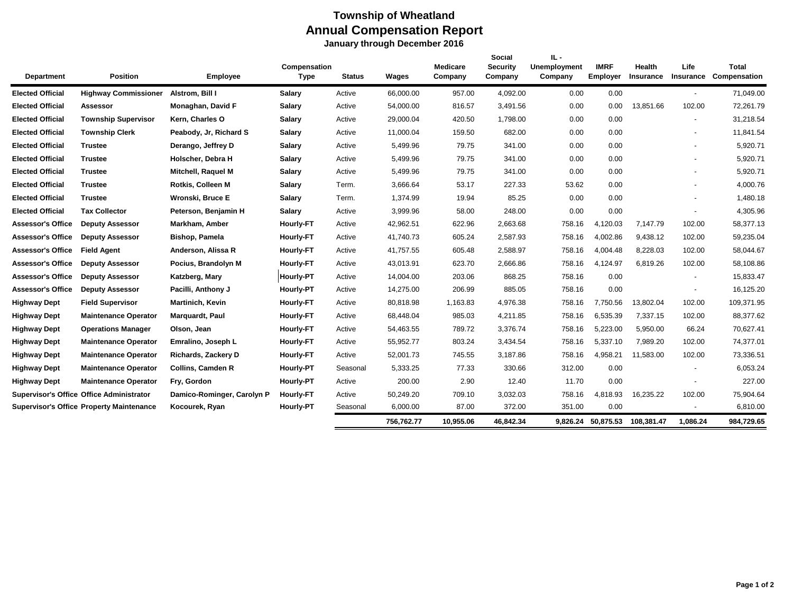## **Township of Wheatland Annual Compensation Report**

 **January through December 2016**

| <b>Department</b>        | <b>Position</b>                                 | Employee                   | Compensation<br><b>Type</b> | <b>Status</b> | Wages      | <b>Medicare</b><br>Company | Social<br>Security<br>Company | IL -<br>Unemployment<br>Company | <b>IMRF</b><br>Employer | Health<br>Insurance | Life<br>Insurance | <b>Total</b><br>Compensation |
|--------------------------|-------------------------------------------------|----------------------------|-----------------------------|---------------|------------|----------------------------|-------------------------------|---------------------------------|-------------------------|---------------------|-------------------|------------------------------|
| <b>Elected Official</b>  | <b>Highway Commissioner</b>                     | Alstrom, Bill I            | <b>Salary</b>               | Active        | 66,000.00  | 957.00                     | 4,092.00                      | 0.00                            | 0.00                    |                     |                   | 71,049.00                    |
| <b>Elected Official</b>  | Assessor                                        | Monaghan, David F          | Salary                      | Active        | 54,000.00  | 816.57                     | 3,491.56                      | 0.00                            | 0.00                    | 13,851.66           | 102.00            | 72,261.79                    |
| <b>Elected Official</b>  | <b>Township Supervisor</b>                      | Kern, Charles O            | <b>Salary</b>               | Active        | 29,000.04  | 420.50                     | 1,798.00                      | 0.00                            | 0.00                    |                     |                   | 31,218.54                    |
| <b>Elected Official</b>  | <b>Township Clerk</b>                           | Peabody, Jr, Richard S     | Salary                      | Active        | 11,000.04  | 159.50                     | 682.00                        | 0.00                            | 0.00                    |                     |                   | 11,841.54                    |
| <b>Elected Official</b>  | <b>Trustee</b>                                  | Derango, Jeffrey D         | Salary                      | Active        | 5,499.96   | 79.75                      | 341.00                        | 0.00                            | 0.00                    |                     |                   | 5,920.71                     |
| <b>Elected Official</b>  | Trustee                                         | Holscher, Debra H          | <b>Salary</b>               | Active        | 5,499.96   | 79.75                      | 341.00                        | 0.00                            | 0.00                    |                     |                   | 5,920.71                     |
| <b>Elected Official</b>  | <b>Trustee</b>                                  | Mitchell, Raquel M         | Salary                      | Active        | 5,499.96   | 79.75                      | 341.00                        | 0.00                            | 0.00                    |                     |                   | 5,920.71                     |
| <b>Elected Official</b>  | <b>Trustee</b>                                  | Rotkis, Colleen M          | <b>Salary</b>               | Term.         | 3,666.64   | 53.17                      | 227.33                        | 53.62                           | 0.00                    |                     |                   | 4,000.76                     |
| <b>Elected Official</b>  | Trustee                                         | Wronski, Bruce E           | Salary                      | Term.         | 1,374.99   | 19.94                      | 85.25                         | 0.00                            | 0.00                    |                     |                   | 1,480.18                     |
| <b>Elected Official</b>  | <b>Tax Collector</b>                            | Peterson, Benjamin H       | Salary                      | Active        | 3,999.96   | 58.00                      | 248.00                        | 0.00                            | 0.00                    |                     |                   | 4,305.96                     |
| <b>Assessor's Office</b> | <b>Deputy Assessor</b>                          | Markham, Amber             | Hourly-FT                   | Active        | 42,962.51  | 622.96                     | 2,663.68                      | 758.16                          | 4,120.03                | 7,147.79            | 102.00            | 58,377.13                    |
| <b>Assessor's Office</b> | <b>Deputy Assessor</b>                          | Bishop, Pamela             | Hourly-FT                   | Active        | 41,740.73  | 605.24                     | 2,587.93                      | 758.16                          | 4,002.86                | 9,438.12            | 102.00            | 59,235.04                    |
| <b>Assessor's Office</b> | <b>Field Agent</b>                              | Anderson, Alissa R         | Hourly-FT                   | Active        | 41,757.55  | 605.48                     | 2,588.97                      | 758.16                          | 4,004.48                | 8,228.03            | 102.00            | 58,044.67                    |
| <b>Assessor's Office</b> | <b>Deputy Assessor</b>                          | Pocius, Brandolyn M        | Hourly-FT                   | Active        | 43,013.91  | 623.70                     | 2,666.86                      | 758.16                          | 4,124.97                | 6,819.26            | 102.00            | 58,108.86                    |
| <b>Assessor's Office</b> | <b>Deputy Assessor</b>                          | Katzberg, Mary             | <b>Hourly-PT</b>            | Active        | 14,004.00  | 203.06                     | 868.25                        | 758.16                          | 0.00                    |                     |                   | 15,833.47                    |
| <b>Assessor's Office</b> | <b>Deputy Assessor</b>                          | Pacilli, Anthony J         | Hourly-PT                   | Active        | 14,275.00  | 206.99                     | 885.05                        | 758.16                          | 0.00                    |                     |                   | 16,125.20                    |
| <b>Highway Dept</b>      | <b>Field Supervisor</b>                         | Martinich, Kevin           | Hourly-FT                   | Active        | 80,818.98  | 1,163.83                   | 4,976.38                      | 758.16                          | 7,750.56                | 13,802.04           | 102.00            | 109,371.95                   |
| <b>Highway Dept</b>      | <b>Maintenance Operator</b>                     | Marquardt, Paul            | Hourly-FT                   | Active        | 68,448.04  | 985.03                     | 4,211.85                      | 758.16                          | 6,535.39                | 7,337.15            | 102.00            | 88,377.62                    |
| <b>Highway Dept</b>      | <b>Operations Manager</b>                       | Olson, Jean                | Hourly-FT                   | Active        | 54,463.55  | 789.72                     | 3,376.74                      | 758.16                          | 5,223.00                | 5,950.00            | 66.24             | 70,627.41                    |
| <b>Highway Dept</b>      | <b>Maintenance Operator</b>                     | Emralino, Joseph L         | Hourly-FT                   | Active        | 55,952.77  | 803.24                     | 3,434.54                      | 758.16                          | 5,337.10                | 7,989.20            | 102.00            | 74,377.01                    |
| <b>Highway Dept</b>      | <b>Maintenance Operator</b>                     | <b>Richards, Zackery D</b> | Hourly-FT                   | Active        | 52,001.73  | 745.55                     | 3,187.86                      | 758.16                          | 4,958.21                | 11,583.00           | 102.00            | 73,336.51                    |
| <b>Highway Dept</b>      | <b>Maintenance Operator</b>                     | <b>Collins, Camden R</b>   | Hourly-PT                   | Seasonal      | 5,333.25   | 77.33                      | 330.66                        | 312.00                          | 0.00                    |                     |                   | 6,053.24                     |
| <b>Highway Dept</b>      | <b>Maintenance Operator</b>                     | Fry, Gordon                | Hourly-PT                   | Active        | 200.00     | 2.90                       | 12.40                         | 11.70                           | 0.00                    |                     |                   | 227.00                       |
|                          | Supervisor's Office Office Administrator        | Damico-Rominger, Carolyn P | Hourly-FT                   | Active        | 50,249.20  | 709.10                     | 3,032.03                      | 758.16                          | 4,818.93                | 16,235.22           | 102.00            | 75,904.64                    |
|                          | <b>Supervisor's Office Property Maintenance</b> | Kocourek, Ryan             | Hourly-PT                   | Seasonal      | 6,000.00   | 87.00                      | 372.00                        | 351.00                          | 0.00                    |                     |                   | 6,810.00                     |
|                          |                                                 |                            |                             |               | 756,762.77 | 10.955.06                  | 46.842.34                     | 9.826.24                        | 50,875.53               | 108.381.47          | 1.086.24          | 984,729.65                   |